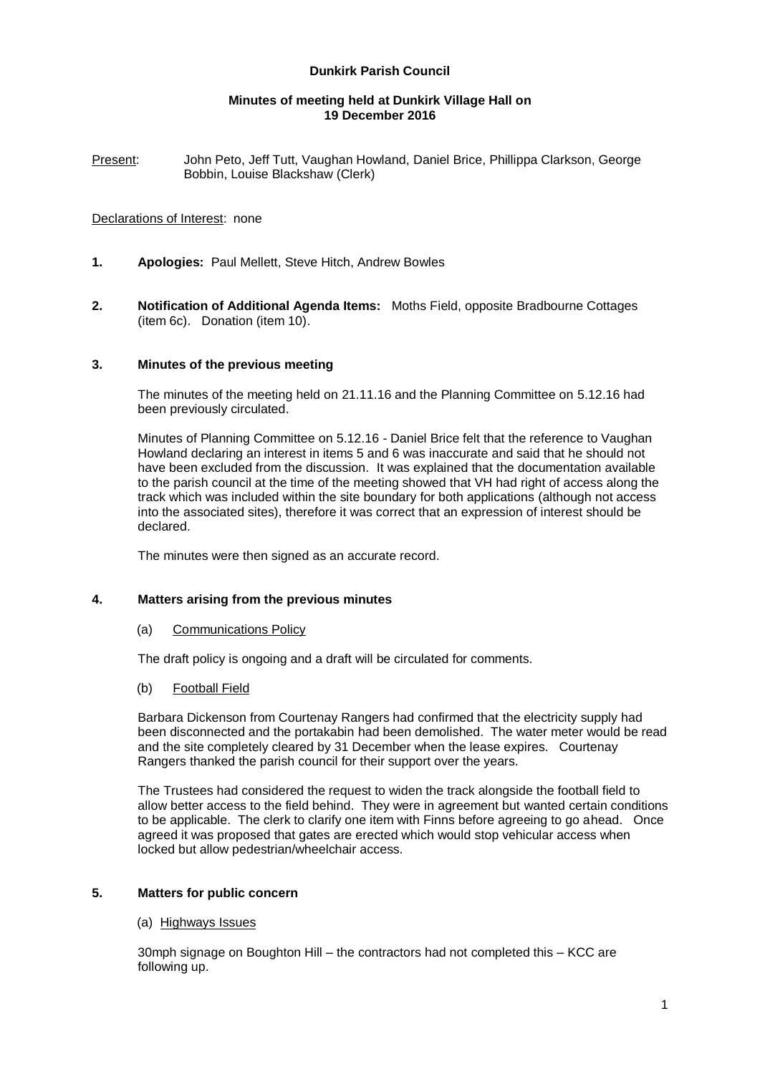# **Dunkirk Parish Council**

### **Minutes of meeting held at Dunkirk Village Hall on 19 December 2016**

Present: John Peto, Jeff Tutt, Vaughan Howland, Daniel Brice, Phillippa Clarkson, George Bobbin, Louise Blackshaw (Clerk)

### Declarations of Interest: none

- **1. Apologies:** Paul Mellett, Steve Hitch, Andrew Bowles
- **2. Notification of Additional Agenda Items:** Moths Field, opposite Bradbourne Cottages (item 6c). Donation (item 10).

### **3. Minutes of the previous meeting**

The minutes of the meeting held on 21.11.16 and the Planning Committee on 5.12.16 had been previously circulated.

Minutes of Planning Committee on 5.12.16 - Daniel Brice felt that the reference to Vaughan Howland declaring an interest in items 5 and 6 was inaccurate and said that he should not have been excluded from the discussion. It was explained that the documentation available to the parish council at the time of the meeting showed that VH had right of access along the track which was included within the site boundary for both applications (although not access into the associated sites), therefore it was correct that an expression of interest should be declared.

The minutes were then signed as an accurate record.

### **4. Matters arising from the previous minutes**

### (a) Communications Policy

The draft policy is ongoing and a draft will be circulated for comments.

### (b) Football Field

Barbara Dickenson from Courtenay Rangers had confirmed that the electricity supply had been disconnected and the portakabin had been demolished. The water meter would be read and the site completely cleared by 31 December when the lease expires. Courtenay Rangers thanked the parish council for their support over the years.

The Trustees had considered the request to widen the track alongside the football field to allow better access to the field behind. They were in agreement but wanted certain conditions to be applicable. The clerk to clarify one item with Finns before agreeing to go ahead. Once agreed it was proposed that gates are erected which would stop vehicular access when locked but allow pedestrian/wheelchair access.

# **5. Matters for public concern**

### (a) Highways Issues

30mph signage on Boughton Hill – the contractors had not completed this – KCC are following up.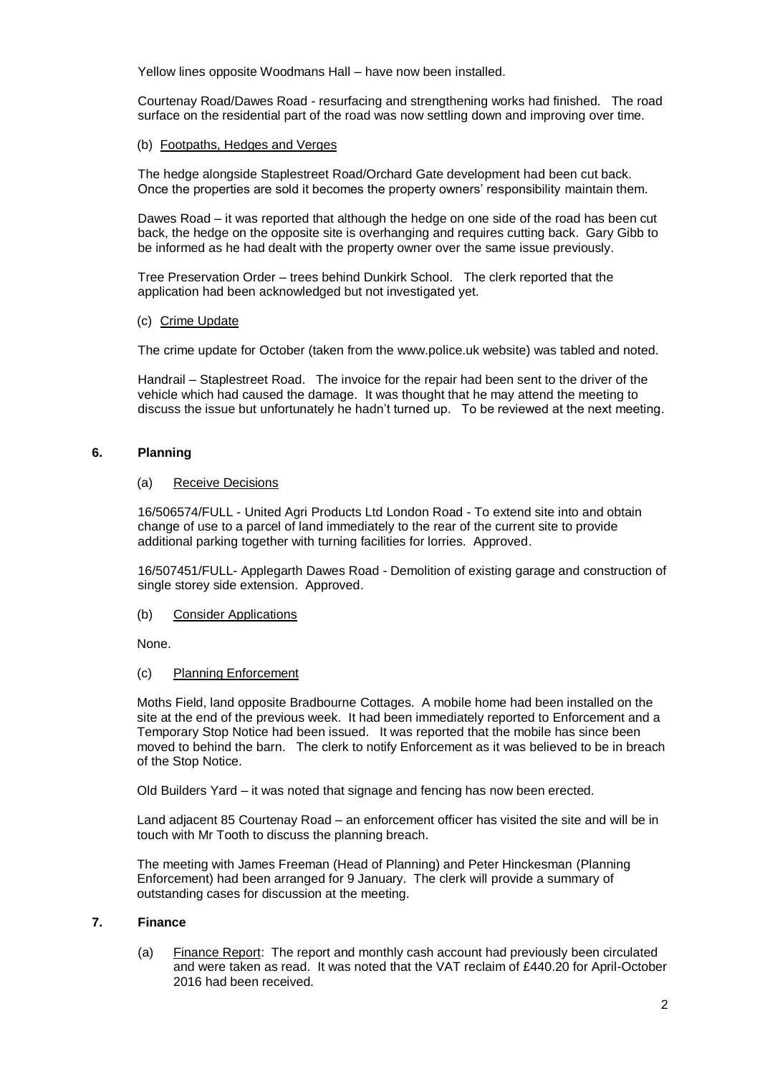Yellow lines opposite Woodmans Hall – have now been installed.

Courtenay Road/Dawes Road - resurfacing and strengthening works had finished. The road surface on the residential part of the road was now settling down and improving over time.

## (b) Footpaths, Hedges and Verges

The hedge alongside Staplestreet Road/Orchard Gate development had been cut back. Once the properties are sold it becomes the property owners' responsibility maintain them.

Dawes Road – it was reported that although the hedge on one side of the road has been cut back, the hedge on the opposite site is overhanging and requires cutting back. Gary Gibb to be informed as he had dealt with the property owner over the same issue previously.

Tree Preservation Order – trees behind Dunkirk School. The clerk reported that the application had been acknowledged but not investigated yet.

## (c) Crime Update

The crime update for October (taken from the [www.police.uk](http://www.police.uk/) website) was tabled and noted.

Handrail – Staplestreet Road. The invoice for the repair had been sent to the driver of the vehicle which had caused the damage. It was thought that he may attend the meeting to discuss the issue but unfortunately he hadn't turned up. To be reviewed at the next meeting.

# **6. Planning**

## (a) Receive Decisions

16/506574/FULL - United Agri Products Ltd London Road - To extend site into and obtain change of use to a parcel of land immediately to the rear of the current site to provide additional parking together with turning facilities for lorries. Approved.

16/507451/FULL- Applegarth Dawes Road - Demolition of existing garage and construction of single storey side extension. Approved.

# (b) Consider Applications

None.

### (c) Planning Enforcement

Moths Field, land opposite Bradbourne Cottages. A mobile home had been installed on the site at the end of the previous week. It had been immediately reported to Enforcement and a Temporary Stop Notice had been issued. It was reported that the mobile has since been moved to behind the barn. The clerk to notify Enforcement as it was believed to be in breach of the Stop Notice.

Old Builders Yard – it was noted that signage and fencing has now been erected.

Land adjacent 85 Courtenay Road – an enforcement officer has visited the site and will be in touch with Mr Tooth to discuss the planning breach.

The meeting with James Freeman (Head of Planning) and Peter Hinckesman (Planning Enforcement) had been arranged for 9 January. The clerk will provide a summary of outstanding cases for discussion at the meeting.

# **7. Finance**

(a) Finance Report: The report and monthly cash account had previously been circulated and were taken as read. It was noted that the VAT reclaim of £440.20 for April-October 2016 had been received.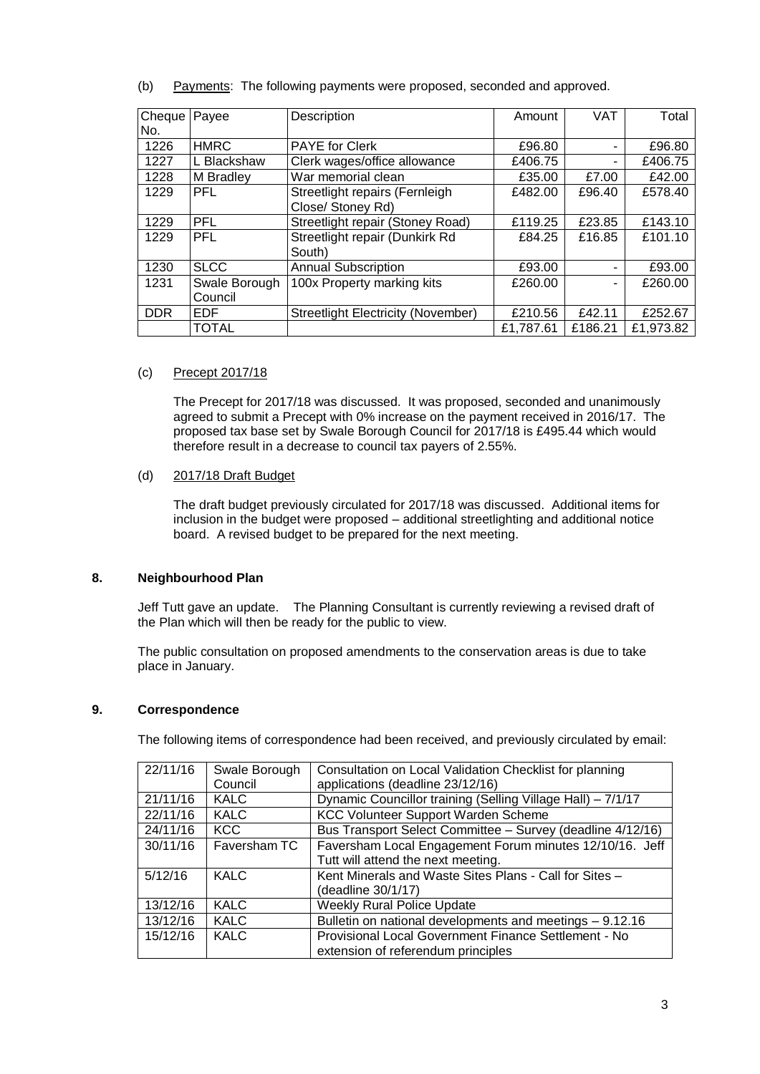| Cheque   Payee |               | Description                        | Amount    | <b>VAT</b>     | Total     |
|----------------|---------------|------------------------------------|-----------|----------------|-----------|
| No.            |               |                                    |           |                |           |
| 1226           | <b>HMRC</b>   | <b>PAYE for Clerk</b>              | £96.80    | ٠              | £96.80    |
| 1227           | L Blackshaw   | Clerk wages/office allowance       | £406.75   | ۰              | £406.75   |
| 1228           | M Bradley     | War memorial clean                 | £35.00    | £7.00          | £42.00    |
| 1229           | PFL           | Streetlight repairs (Fernleigh     | £482.00   | £96.40         | £578.40   |
|                |               | Close/ Stoney Rd)                  |           |                |           |
| 1229           | PFL           | Streetlight repair (Stoney Road)   | £119.25   | £23.85         | £143.10   |
| 1229           | <b>PFL</b>    | Streetlight repair (Dunkirk Rd     | £84.25    | £16.85         | £101.10   |
|                |               | South)                             |           |                |           |
| 1230           | <b>SLCC</b>   | <b>Annual Subscription</b>         | £93.00    | $\blacksquare$ | £93.00    |
| 1231           | Swale Borough | 100x Property marking kits         | £260.00   | -              | £260.00   |
|                | Council       |                                    |           |                |           |
| <b>DDR</b>     | <b>EDF</b>    | Streetlight Electricity (November) | £210.56   | £42.11         | £252.67   |
|                | <b>TOTAL</b>  |                                    | £1,787.61 | £186.21        | £1,973.82 |

(b) Payments: The following payments were proposed, seconded and approved.

# (c) Precept 2017/18

The Precept for 2017/18 was discussed. It was proposed, seconded and unanimously agreed to submit a Precept with 0% increase on the payment received in 2016/17. The proposed tax base set by Swale Borough Council for 2017/18 is £495.44 which would therefore result in a decrease to council tax payers of 2.55%.

# (d) 2017/18 Draft Budget

The draft budget previously circulated for 2017/18 was discussed. Additional items for inclusion in the budget were proposed – additional streetlighting and additional notice board. A revised budget to be prepared for the next meeting.

# **8. Neighbourhood Plan**

Jeff Tutt gave an update. The Planning Consultant is currently reviewing a revised draft of the Plan which will then be ready for the public to view.

The public consultation on proposed amendments to the conservation areas is due to take place in January.

### **9. Correspondence**

The following items of correspondence had been received, and previously circulated by email:

| 22/11/16 | Swale Borough<br>Council | Consultation on Local Validation Checklist for planning<br>applications (deadline 23/12/16) |  |
|----------|--------------------------|---------------------------------------------------------------------------------------------|--|
| 21/11/16 | <b>KALC</b>              | Dynamic Councillor training (Selling Village Hall) - 7/1/17                                 |  |
| 22/11/16 | KALC                     | <b>KCC Volunteer Support Warden Scheme</b>                                                  |  |
| 24/11/16 | <b>KCC</b>               | Bus Transport Select Committee - Survey (deadline 4/12/16)                                  |  |
| 30/11/16 | Faversham TC             | Faversham Local Engagement Forum minutes 12/10/16. Jeff                                     |  |
|          |                          | Tutt will attend the next meeting.                                                          |  |
| 5/12/16  | <b>KALC</b>              | Kent Minerals and Waste Sites Plans - Call for Sites -                                      |  |
|          |                          | (deadline 30/1/17)                                                                          |  |
| 13/12/16 | <b>KALC</b>              | <b>Weekly Rural Police Update</b>                                                           |  |
| 13/12/16 | <b>KALC</b>              | Bulletin on national developments and meetings - 9.12.16                                    |  |
| 15/12/16 | <b>KALC</b>              | Provisional Local Government Finance Settlement - No                                        |  |
|          |                          | extension of referendum principles                                                          |  |